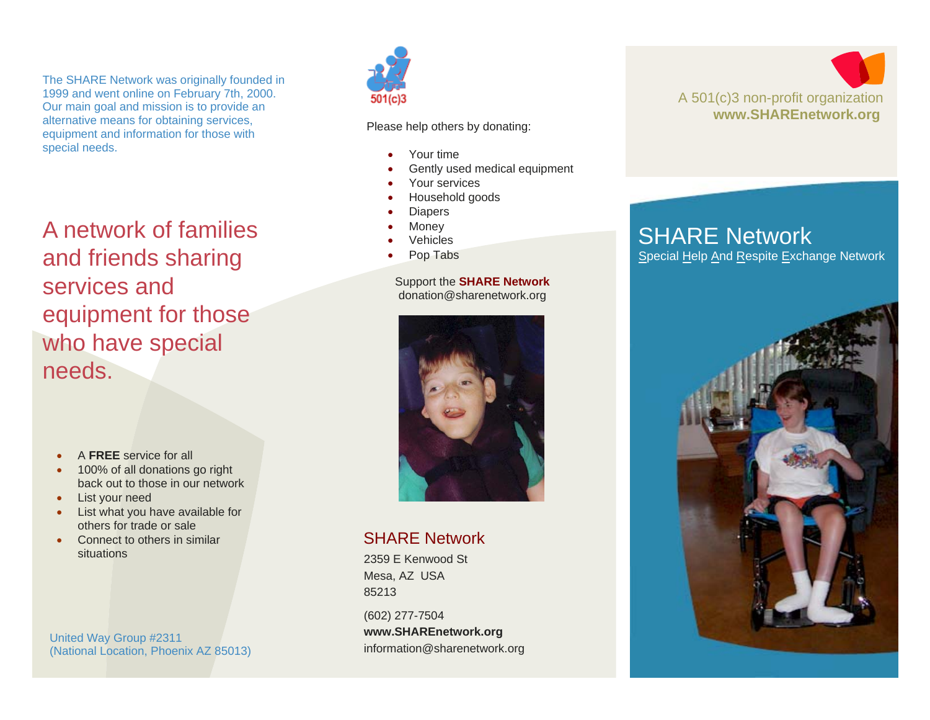The SHARE Network was originally founded in 1999 and went online on February 7th, 2000. Our main goal and mission is to provide an alternative means for obtaining services, equipment and information for those with special needs.

A network of families and friends sharing services and equipment for those who have special needs.

- •A **FREE** service for all
- • 100% of all donations go right back out to those in our network
- •List your need
- • List what you have available for others for trade or sale
- • Connect to others in similar situations

United Way Group #2311 (National Location, Phoenix AZ 85013)



Please help others by donating:

- •Your time
- •Gently used medical equipment
- •Your services
- •Household goods
- •**Diapers**
- •Money
- •Vehicles
- •Pop Tabs

### Support the **SHARE Network**  donation@sharenetwork.org



### SHARE Network

2359 E Kenwood St Mesa, AZ USA 85213

(602) 277-7504 **www.SHAREnetwork.org** information@sharenetwork.org



## SHARE Network

Special Help And Respite Exchange Network